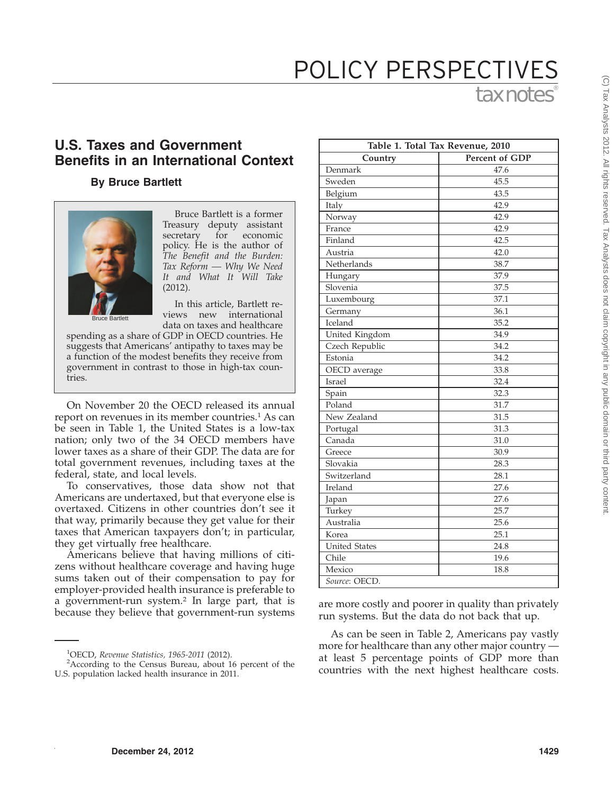## tax notes POLICY PERSPECTIVES

## **U.S. Taxes and Government Benefits in an International Context**

## **By Bruce Bartlett**



Bruce Bartlett is a former Treasury deputy assistant secretary for economic policy. He is the author of *The Benefit and the Burden: Tax Reform — Why We Need It and What It Will Take* (2012).

Bruce Bartlett

In this article, Bartlett reviews new international data on taxes and healthcare

spending as a share of GDP in OECD countries. He suggests that Americans' antipathy to taxes may be a function of the modest benefits they receive from government in contrast to those in high-tax countries.

On November 20 the OECD released its annual report on revenues in its member countries.<sup>1</sup> As can be seen in Table 1, the United States is a low-tax nation; only two of the 34 OECD members have lower taxes as a share of their GDP. The data are for total government revenues, including taxes at the federal, state, and local levels.

To conservatives, those data show not that Americans are undertaxed, but that everyone else is overtaxed. Citizens in other countries don't see it that way, primarily because they get value for their taxes that American taxpayers don't; in particular, they get virtually free healthcare.

Americans believe that having millions of citizens without healthcare coverage and having huge sums taken out of their compensation to pay for employer-provided health insurance is preferable to a government-run system.2 In large part, that is a government-run system.<sup>2</sup> In large part, that is are more costly and poorer in quality than privately because they believe that government-run systems are more costly and poorer in quality than privately

| Table 1. Total Tax Revenue, 2010 |                |  |
|----------------------------------|----------------|--|
| Country                          | Percent of GDP |  |
| Denmark                          | 47.6           |  |
| Sweden                           | 45.5           |  |
| Belgium                          | 43.5           |  |
| Italy                            | 42.9           |  |
| Norway                           | 42.9           |  |
| France                           | 42.9           |  |
| Finland                          | 42.5           |  |
| Austria                          | 42.0           |  |
| Netherlands                      | 38.7           |  |
| Hungary                          | 37.9           |  |
| Slovenia                         | 37.5           |  |
| Luxembourg                       | 37.1           |  |
| Germany                          | 36.1           |  |
| Iceland                          | 35.2           |  |
| United Kingdom                   | 34.9           |  |
| Czech Republic                   | 34.2           |  |
| Estonia                          | 34.2           |  |
| OECD average                     | 33.8           |  |
| Israel                           | 32.4           |  |
| Spain                            | 32.3           |  |
| Poland                           | 31.7           |  |
| New Zealand                      | 31.5           |  |
| Portugal                         | 31.3           |  |
| Canada                           | 31.0           |  |
| Greece                           | 30.9           |  |
| Slovakia                         | 28.3           |  |
| Switzerland                      | 28.1           |  |
| Ireland                          | 27.6           |  |
| Japan                            | 27.6           |  |
| Turkey                           | 25.7           |  |
| Australia                        | 25.6           |  |
| Korea                            | 25.1           |  |
| <b>United States</b>             | 24.8           |  |
| Chile                            | 19.6           |  |
| Mexico                           | 18.8           |  |
| Source: OECD.                    |                |  |

run systems. But the data do not back that up.

As can be seen in Table 2, Americans pay vastly more for healthcare than any other major country at least 5 percentage points of GDP more than countries with the next highest healthcare costs.

<sup>&</sup>lt;sup>1</sup>OECD, *Revenue Statistics*, 1965-2011 (2012).<br><sup>2</sup> According to the Census Bureau, about 1

<sup>&</sup>lt;sup>2</sup> According to the Census Bureau, about 16 percent of the U.S. population lacked health insurance in 2011.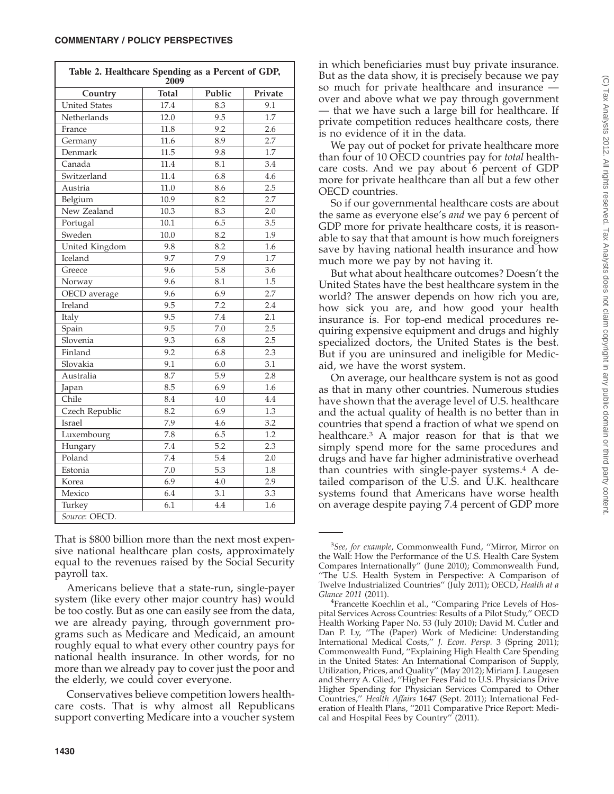| Table 2. Healthcare Spending as a Percent of GDP,<br>2009 |                  |        |                  |
|-----------------------------------------------------------|------------------|--------|------------------|
| Country                                                   | <b>Total</b>     | Public | Private          |
| <b>United States</b>                                      | 17.4             | 8.3    | 9.1              |
| Netherlands                                               | 12.0             | 9.5    | 1.7              |
| France                                                    | 11.8             | 9.2    | 2.6              |
| Germany                                                   | 11.6             | 8.9    | 2.7              |
| Denmark                                                   | 11.5             | 9.8    | 1.7              |
| Canada                                                    | 11.4             | 8.1    | 3.4              |
| Switzerland                                               | 11.4             | 6.8    | 4.6              |
| Austria                                                   | 11.0             | 8.6    | 2.5              |
| Belgium                                                   | 10.9             | 8.2    | 2.7              |
| New Zealand                                               | 10.3             | 8.3    | 2.0              |
| Portugal                                                  | 10.1             | 6.5    | 3.5              |
| Sweden                                                    | 10.0             | 8.2    | $\overline{1.9}$ |
| United Kingdom                                            | 9.8              | 8.2    | 1.6              |
| Iceland                                                   | 9.7              | 7.9    | 1.7              |
| Greece                                                    | 9.6              | 5.8    | 3.6              |
| Norway                                                    | 9.6              | 8.1    | 1.5              |
| OECD average                                              | 9.6              | 6.9    | 2.7              |
| Ireland                                                   | 9.5              | 7.2    | 2.4              |
| Italy                                                     | 9.5              | 7.4    | 2.1              |
| Spain                                                     | 9.5              | 7.0    | 2.5              |
| Slovenia                                                  | 9.3              | 6.8    | 2.5              |
| Finland                                                   | 9.2              | 6.8    | 2.3              |
| Slovakia                                                  | 9.1              | 6.0    | 3.1              |
| Australia                                                 | 8.7              | 5.9    | 2.8              |
| Japan                                                     | 8.5              | 6.9    | 1.6              |
| Chile                                                     | 8.4              | 4.0    | 4.4              |
| Czech Republic                                            | 8.2              | 6.9    | 1.3              |
| Israel                                                    | 7.9              | 4.6    | 3.2              |
| Luxembourg                                                | 7.8              | 6.5    | 1.2              |
| Hungary                                                   | 7.4              | 5.2    | 2.3              |
| Poland                                                    | $\overline{7.4}$ | 5.4    | 2.0              |
| Estonia                                                   | 7.0              | 5.3    | 1.8              |
| Korea                                                     | 6.9              | 4.0    | 2.9              |
| Mexico                                                    | 6.4              | 3.1    | 3.3              |
| Turkey                                                    | 6.1              | 4.4    | 1.6              |
| Source: OECD.                                             |                  |        |                  |

That is \$800 billion more than the next most expensive national healthcare plan costs, approximately equal to the revenues raised by the Social Security payroll tax.

Americans believe that a state-run, single-payer system (like every other major country has) would be too costly. But as one can easily see from the data, we are already paying, through government programs such as Medicare and Medicaid, an amount roughly equal to what every other country pays for national health insurance. In other words, for no more than we already pay to cover just the poor and the elderly, we could cover everyone.

Conservatives believe competition lowers healthcare costs. That is why almost all Republicans support converting Medicare into a voucher system in which beneficiaries must buy private insurance. But as the data show, it is precisely because we pay so much for private healthcare and insurance over and above what we pay through government — that we have such a large bill for healthcare. If private competition reduces healthcare costs, there is no evidence of it in the data.

We pay out of pocket for private healthcare more than four of 10 OECD countries pay for *total* healthcare costs. And we pay about 6 percent of GDP more for private healthcare than all but a few other OECD countries.

So if our governmental healthcare costs are about the same as everyone else's *and* we pay 6 percent of GDP more for private healthcare costs, it is reasonable to say that that amount is how much foreigners save by having national health insurance and how much more we pay by not having it.

But what about healthcare outcomes? Doesn't the United States have the best healthcare system in the world? The answer depends on how rich you are, how sick you are, and how good your health insurance is. For top-end medical procedures requiring expensive equipment and drugs and highly specialized doctors, the United States is the best. But if you are uninsured and ineligible for Medicaid, we have the worst system.

On average, our healthcare system is not as good as that in many other countries. Numerous studies have shown that the average level of U.S. healthcare and the actual quality of health is no better than in countries that spend a fraction of what we spend on healthcare.3 A major reason for that is that we simply spend more for the same procedures and drugs and have far higher administrative overhead than countries with single-payer systems. $4$  A detailed comparison of the U.S. and U.K. healthcare systems found that Americans have worse health on average despite paying 7.4 percent of GDP more

<sup>3</sup> *See, for example*, Commonwealth Fund, ''Mirror, Mirror on the Wall: How the Performance of the U.S. Health Care System Compares Internationally'' (June 2010); Commonwealth Fund, ''The U.S. Health System in Perspective: A Comparison of Twelve Industrialized Countries" (July 2011); OECD, *Health at a Glance 2011* (2011). <sup>4</sup>

<sup>&</sup>lt;sup>4</sup>Francette Koechlin et al., "Comparing Price Levels of Hospital Services Across Countries: Results of a Pilot Study,'' OECD Health Working Paper No. 53 (July 2010); David M. Cutler and Dan P. Ly, ''The (Paper) Work of Medicine: Understanding International Medical Costs,'' *J. Econ. Persp.* 3 (Spring 2011); Commonwealth Fund, ''Explaining High Health Care Spending in the United States: An International Comparison of Supply, Utilization, Prices, and Quality'' (May 2012); Miriam J. Laugesen and Sherry A. Glied, ''Higher Fees Paid to U.S. Physicians Drive Higher Spending for Physician Services Compared to Other Countries,'' *Health Affairs* 1647 (Sept. 2011); International Federation of Health Plans, ''2011 Comparative Price Report: Medical and Hospital Fees by Country'' (2011).